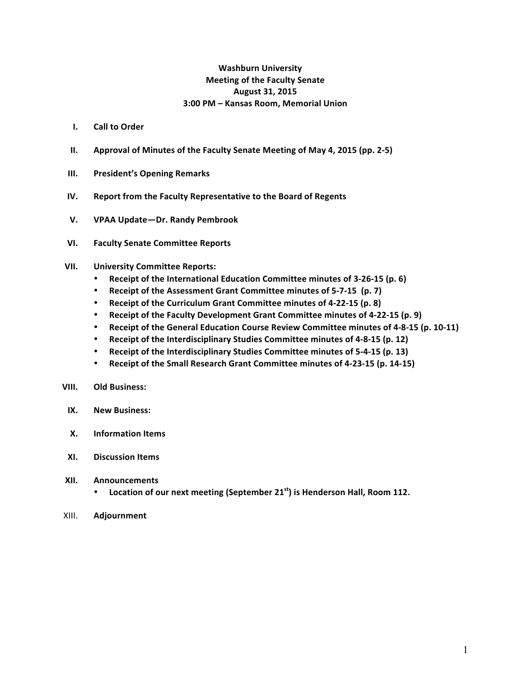## **Washburn University Meeting of the Faculty Senate August 31, 2015 3:00 PM – Kansas Room, Memorial Union**

- **I. Call to Order**
- **II. Approval of Minutes of the Faculty Senate Meeting of May 4, 2015 (pp. 2-5)**
- **III.** President's Opening Remarks
- **IV.** Report from the Faculty Representative to the Board of Regents
- **V. VPAA Update—Dr. Randy Pembrook**
- **VI. Faculty Senate Committee Reports**

#### **VII. University Committee Reports:**

- Receipt of the International Education Committee minutes of 3-26-15 (p. 6)
- Receipt of the Assessment Grant Committee minutes of 5-7-15 (p. 7)
- **Receipt of the Curriculum Grant Committee minutes of 4-22-15 (p. 8)**
- Receipt of the Faculty Development Grant Committee minutes of 4-22-15 (p. 9)
- Receipt of the General Education Course Review Committee minutes of 4-8-15 (p. 10-11)
- **Receipt of the Interdisciplinary Studies Committee minutes of 4-8-15 (p. 12)**
- Receipt of the Interdisciplinary Studies Committee minutes of 5-4-15 (p. 13)
- Receipt of the Small Research Grant Committee minutes of 4-23-15 (p. 14-15)

#### **VIII. Old Business:**

- **IX. New Business:**
- **X. Information Items**
- **XI. Discussion Items**
- **XII. Announcements** 
	- Location of our next meeting (September 21<sup>st</sup>) is Henderson Hall, Room 112.
- XIII. **Adjournment**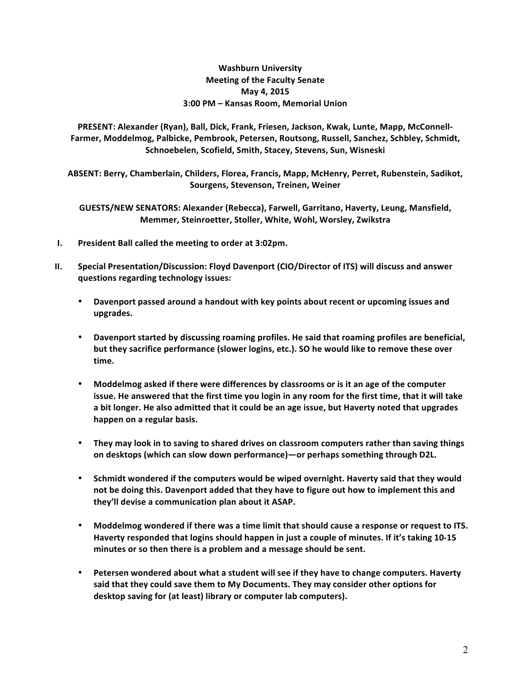## **Washburn University Meeting of the Faculty Senate May 4, 2015 3:00 PM – Kansas Room, Memorial Union**

PRESENT: Alexander (Ryan), Ball, Dick, Frank, Friesen, Jackson, Kwak, Lunte, Mapp, McConnell-Farmer, Moddelmog, Palbicke, Pembrook, Petersen, Routsong, Russell, Sanchez, Schbley, Schmidt, Schnoebelen, Scofield, Smith, Stacey, Stevens, Sun, Wisneski

ABSENT: Berry, Chamberlain, Childers, Florea, Francis, Mapp, McHenry, Perret, Rubenstein, Sadikot, **Sourgens, Stevenson, Treinen, Weiner**

GUESTS/NEW SENATORS: Alexander (Rebecca), Farwell, Garritano, Haverty, Leung, Mansfield, **Memmer, Steinroetter, Stoller, White, Wohl, Worsley, Zwikstra** 

- **I.** President Ball called the meeting to order at 3:02pm.
- **II.** Special Presentation/Discussion: Floyd Davenport (CIO/Director of ITS) will discuss and answer **questions regarding technology issues:**
	- Davenport passed around a handout with key points about recent or upcoming issues and **upgrades.**
	- Davenport started by discussing roaming profiles. He said that roaming profiles are beneficial, but they sacrifice performance (slower logins, etc.). SO he would like to remove these over **time.**
	- Moddelmog asked if there were differences by classrooms or is it an age of the computer issue. He answered that the first time you login in any room for the first time, that it will take a bit longer. He also admitted that it could be an age issue, but Haverty noted that upgrades happen on a regular basis.
	- They may look in to saving to shared drives on classroom computers rather than saving things on desktops (which can slow down performance)—or perhaps something through D2L.
	- Schmidt wondered if the computers would be wiped overnight. Haverty said that they would not be doing this. Davenport added that they have to figure out how to implement this and they'll devise a communication plan about it ASAP.
	- **Moddelmog wondered if there was a time limit that should cause a response or request to ITS.** Haverty responded that logins should happen in just a couple of minutes. If it's taking 10-15 minutes or so then there is a problem and a message should be sent.
	- Petersen wondered about what a student will see if they have to change computers. Haverty said that they could save them to My Documents. They may consider other options for desktop saving for (at least) library or computer lab computers).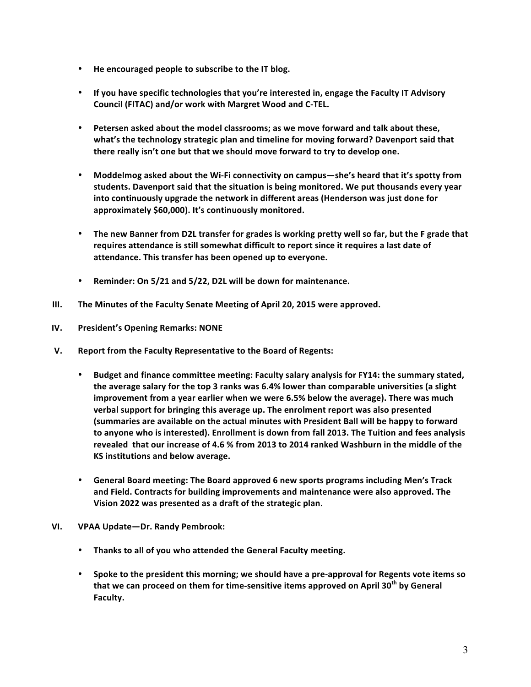- He encouraged people to subscribe to the IT blog.
- If you have specific technologies that you're interested in, engage the Faculty IT Advisory **Council (FITAC) and/or work with Margret Wood and C-TEL.**
- Petersen asked about the model classrooms; as we move forward and talk about these, what's the technology strategic plan and timeline for moving forward? Davenport said that there really isn't one but that we should move forward to try to develop one.
- Moddelmog asked about the Wi-Fi connectivity on campus—she's heard that it's spotty from students. Davenport said that the situation is being monitored. We put thousands every year into continuously upgrade the network in different areas (Henderson was just done for approximately \$60,000). It's continuously monitored.
- The new Banner from D2L transfer for grades is working pretty well so far, but the F grade that requires attendance is still somewhat difficult to report since it requires a last date of attendance. This transfer has been opened up to everyone.
- Reminder: On 5/21 and 5/22, D2L will be down for maintenance.
- **III.** The Minutes of the Faculty Senate Meeting of April 20, 2015 were approved.
- **IV.** President's Opening Remarks: NONE
- **V.** Report from the Faculty Representative to the Board of Regents:
	- Budget and finance committee meeting: Faculty salary analysis for FY14: the summary stated, the average salary for the top 3 ranks was 6.4% lower than comparable universities (a slight **improvement from a year earlier when we were 6.5% below the average). There was much** verbal support for bringing this average up. The enrolment report was also presented **(summaries are available on the actual minutes with President Ball will be happy to forward** to anyone who is interested). Enrollment is down from fall 2013. The Tuition and fees analysis revealed that our increase of 4.6 % from 2013 to 2014 ranked Washburn in the middle of the **KS** institutions and below average.
	- General Board meeting: The Board approved 6 new sports programs including Men's Track and Field. Contracts for building improvements and maintenance were also approved. The **Vision 2022 was presented as a draft of the strategic plan.**
- **VI. VPAA Update—Dr. Randy Pembrook:** 
	- **Thanks to all of you who attended the General Faculty meeting.**
	- Spoke to the president this morning; we should have a pre-approval for Regents vote items so **that we can proceed on them for time-sensitive items approved on April 30<sup>th</sup> by General Faculty.**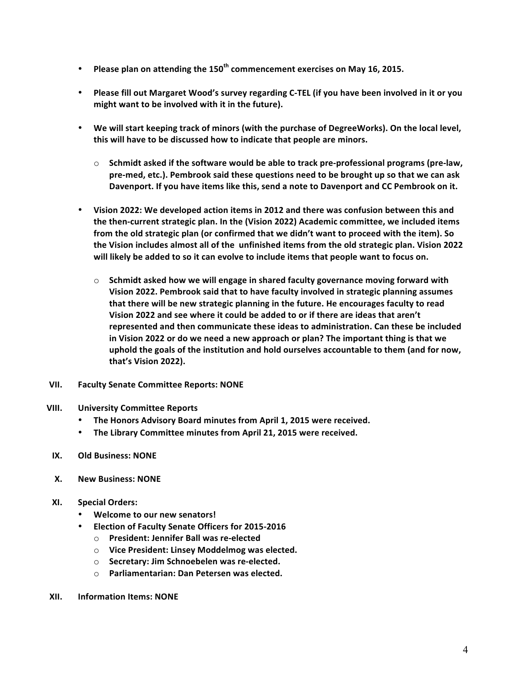- Please plan on attending the 150<sup>th</sup> commencement exercises on May 16, 2015.
- Please fill out Margaret Wood's survey regarding C-TEL (if you have been involved in it or you might want to be involved with it in the future).
- We will start keeping track of minors (with the purchase of DegreeWorks). On the local level, this will have to be discussed how to indicate that people are minors.
	- $\circ$  Schmidt asked if the software would be able to track pre-professional programs (pre-law, pre-med, etc.). Pembrook said these questions need to be brought up so that we can ask Davenport. If you have items like this, send a note to Davenport and CC Pembrook on it.
- Vision 2022: We developed action items in 2012 and there was confusion between this and the then-current strategic plan. In the (Vision 2022) Academic committee, we included items from the old strategic plan (or confirmed that we didn't want to proceed with the item). So the Vision includes almost all of the unfinished items from the old strategic plan. Vision 2022 will likely be added to so it can evolve to include items that people want to focus on.
	- $\circ$  Schmidt asked how we will engage in shared faculty governance moving forward with Vision 2022. Pembrook said that to have faculty involved in strategic planning assumes that there will be new strategic planning in the future. He encourages faculty to read Vision 2022 and see where it could be added to or if there are ideas that aren't represented and then communicate these ideas to administration. Can these be included in Vision 2022 or do we need a new approach or plan? The important thing is that we uphold the goals of the institution and hold ourselves accountable to them (and for now, **that's Vision 2022).**
- **VII. Faculty Senate Committee Reports: NONE**
- **VIII. University Committee Reports**
	- The Honors Advisory Board minutes from April 1, 2015 were received.
	- The Library Committee minutes from April 21, 2015 were received.
- **IX. Old Business: NONE**
- **X. New Business: NONE**
- **XI. Special Orders:**
	- **Welcome to our new senators!**
	- **Election of Faculty Senate Officers for 2015-2016** 
		- o **President: Jennifer Ball was re-elected**
		- o **Vice President: Linsey Moddelmog was elected.**
		- $\circ$  **Secretary: Jim Schnoebelen was re-elected.**
		- o **Parliamentarian: Dan Petersen was elected.**
- **XII. Information Items: NONE**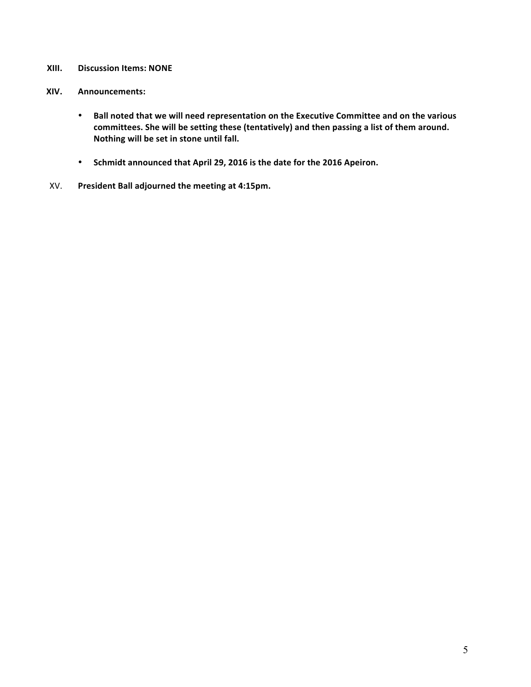## **XIII.** Discussion Items: NONE

#### **XIV. Announcements:**

- Ball noted that we will need representation on the Executive Committee and on the various committees. She will be setting these (tentatively) and then passing a list of them around. **Nothing will be set in stone until fall.**
- Schmidt announced that April 29, 2016 is the date for the 2016 Apeiron.
- XV. President Ball adjourned the meeting at 4:15pm.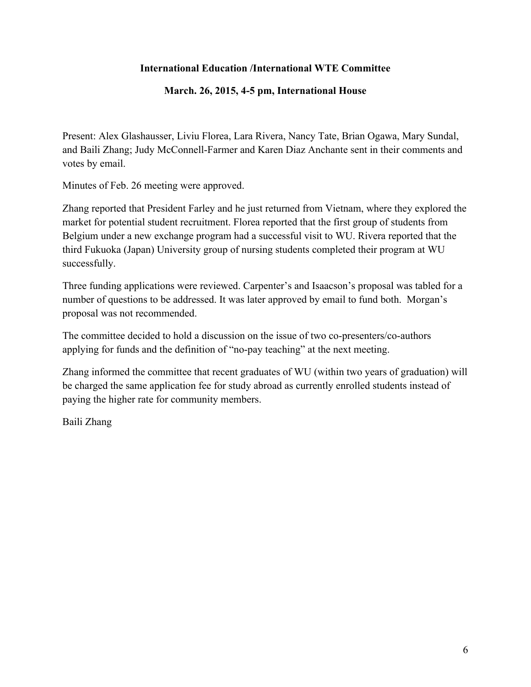# **International Education /International WTE Committee**

# **March. 26, 2015, 4-5 pm, International House**

Present: Alex Glashausser, Liviu Florea, Lara Rivera, Nancy Tate, Brian Ogawa, Mary Sundal, and Baili Zhang; Judy McConnell-Farmer and Karen Diaz Anchante sent in their comments and votes by email.

Minutes of Feb. 26 meeting were approved.

Zhang reported that President Farley and he just returned from Vietnam, where they explored the market for potential student recruitment. Florea reported that the first group of students from Belgium under a new exchange program had a successful visit to WU. Rivera reported that the third Fukuoka (Japan) University group of nursing students completed their program at WU successfully.

Three funding applications were reviewed. Carpenter's and Isaacson's proposal was tabled for a number of questions to be addressed. It was later approved by email to fund both. Morgan's proposal was not recommended.

The committee decided to hold a discussion on the issue of two co-presenters/co-authors applying for funds and the definition of "no-pay teaching" at the next meeting.

Zhang informed the committee that recent graduates of WU (within two years of graduation) will be charged the same application fee for study abroad as currently enrolled students instead of paying the higher rate for community members.

Baili Zhang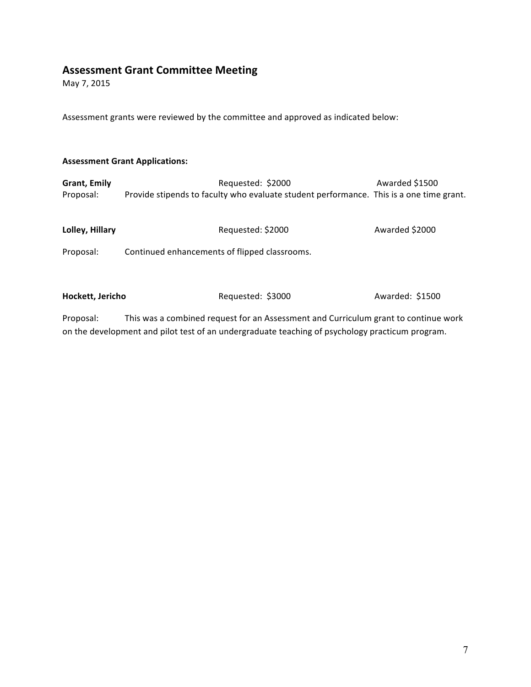# **Assessment Grant Committee Meeting**

May 7, 2015

Assessment grants were reviewed by the committee and approved as indicated below:

#### **Assessment Grant Applications:**

| <b>Grant, Emily</b> | Requested: \$2000                                                                       | Awarded \$1500 |
|---------------------|-----------------------------------------------------------------------------------------|----------------|
| Proposal:           | Provide stipends to faculty who evaluate student performance. This is a one time grant. |                |
|                     |                                                                                         |                |
|                     |                                                                                         |                |
| Lolley, Hillary     | Requested: \$2000                                                                       | Awarded \$2000 |
|                     |                                                                                         |                |

Proposal: Continued enhancements of flipped classrooms.

Hockett, Jericho Requested: \$3000 Awarded: \$1500

Proposal: This was a combined request for an Assessment and Curriculum grant to continue work on the development and pilot test of an undergraduate teaching of psychology practicum program.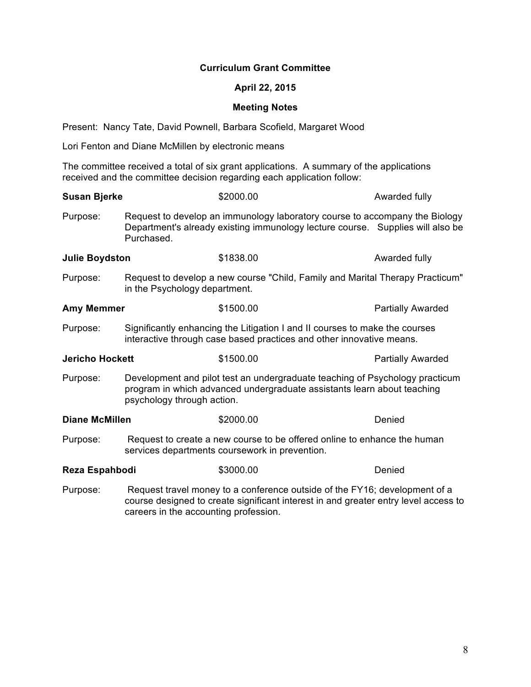## **Curriculum Grant Committee**

## **April 22, 2015**

## **Meeting Notes**

Present: Nancy Tate, David Pownell, Barbara Scofield, Margaret Wood

Lori Fenton and Diane McMillen by electronic means

The committee received a total of six grant applications. A summary of the applications received and the committee decision regarding each application follow:

| <b>Susan Bjerke</b>    |                                                                                                                                                                                                            | \$2000.00                                                                                                                                                     | Awarded fully            |
|------------------------|------------------------------------------------------------------------------------------------------------------------------------------------------------------------------------------------------------|---------------------------------------------------------------------------------------------------------------------------------------------------------------|--------------------------|
| Purpose:               | Purchased.                                                                                                                                                                                                 | Request to develop an immunology laboratory course to accompany the Biology<br>Department's already existing immunology lecture course. Supplies will also be |                          |
| <b>Julie Boydston</b>  |                                                                                                                                                                                                            | \$1838.00                                                                                                                                                     | Awarded fully            |
| Purpose:               | Request to develop a new course "Child, Family and Marital Therapy Practicum"<br>in the Psychology department.                                                                                             |                                                                                                                                                               |                          |
| <b>Amy Memmer</b>      |                                                                                                                                                                                                            | \$1500.00                                                                                                                                                     | <b>Partially Awarded</b> |
| Purpose:               | Significantly enhancing the Litigation I and II courses to make the courses<br>interactive through case based practices and other innovative means.                                                        |                                                                                                                                                               |                          |
| <b>Jericho Hockett</b> |                                                                                                                                                                                                            | \$1500.00                                                                                                                                                     | <b>Partially Awarded</b> |
| Purpose:               | Development and pilot test an undergraduate teaching of Psychology practicum<br>program in which advanced undergraduate assistants learn about teaching<br>psychology through action.                      |                                                                                                                                                               |                          |
| <b>Diane McMillen</b>  |                                                                                                                                                                                                            | \$2000.00                                                                                                                                                     | Denied                   |
| Purpose:               | Request to create a new course to be offered online to enhance the human<br>services departments coursework in prevention.                                                                                 |                                                                                                                                                               |                          |
| Reza Espahbodi         |                                                                                                                                                                                                            | \$3000.00                                                                                                                                                     | Denied                   |
| Purpose:               | Request travel money to a conference outside of the FY16; development of a<br>course designed to create significant interest in and greater entry level access to<br>careers in the accounting profession. |                                                                                                                                                               |                          |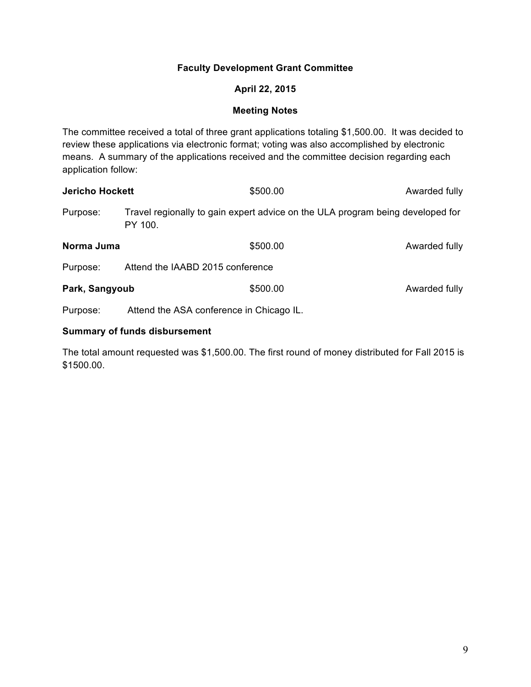## **Faculty Development Grant Committee**

## **April 22, 2015**

## **Meeting Notes**

The committee received a total of three grant applications totaling \$1,500.00. It was decided to review these applications via electronic format; voting was also accomplished by electronic means. A summary of the applications received and the committee decision regarding each application follow:

| <b>Jericho Hockett</b> |                                  | \$500.00                                                                       | Awarded fully |  |
|------------------------|----------------------------------|--------------------------------------------------------------------------------|---------------|--|
| Purpose:               | PY 100.                          | Travel regionally to gain expert advice on the ULA program being developed for |               |  |
| Norma Juma             |                                  | \$500.00                                                                       | Awarded fully |  |
| Purpose:               | Attend the IAABD 2015 conference |                                                                                |               |  |
| Park, Sangyoub         |                                  | \$500.00                                                                       | Awarded fully |  |
|                        |                                  |                                                                                |               |  |

Purpose: Attend the ASA conference in Chicago IL.

## **Summary of funds disbursement**

The total amount requested was \$1,500.00. The first round of money distributed for Fall 2015 is \$1500.00.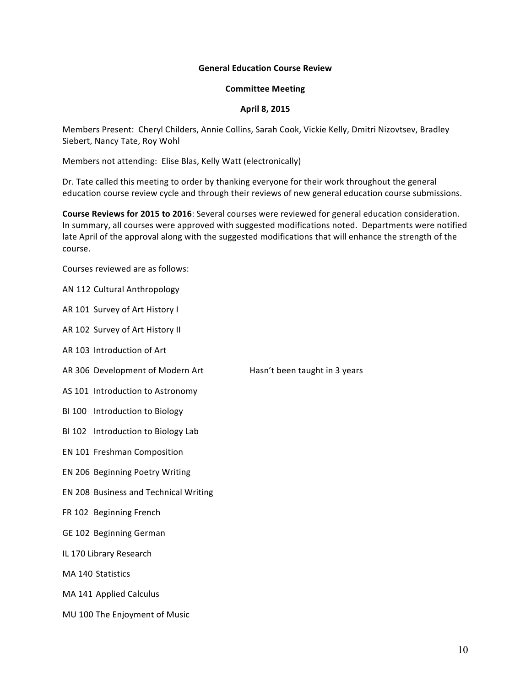#### **General Education Course Review**

#### **Committee Meeting**

#### **April 8, 2015**

Members Present: Cheryl Childers, Annie Collins, Sarah Cook, Vickie Kelly, Dmitri Nizovtsev, Bradley Siebert, Nancy Tate, Roy Wohl

Members not attending: Elise Blas, Kelly Watt (electronically)

Dr. Tate called this meeting to order by thanking everyone for their work throughout the general education course review cycle and through their reviews of new general education course submissions.

**Course Reviews for 2015 to 2016**: Several courses were reviewed for general education consideration. In summary, all courses were approved with suggested modifications noted. Departments were notified late April of the approval along with the suggested modifications that will enhance the strength of the course. 

Courses reviewed are as follows:

AN 112 Cultural Anthropology

AR 101 Survey of Art History I

AR 102 Survey of Art History II

AR 103 Introduction of Art

AR 306 Development of Modern Art Hasn't been taught in 3 years

AS 101 Introduction to Astronomy

BI 100 Introduction to Biology

BI 102 Introduction to Biology Lab

EN 101 Freshman Composition

EN 206 Beginning Poetry Writing

EN 208 Business and Technical Writing

FR 102 Beginning French

GE 102 Beginning German

IL 170 Library Research

MA 140 Statistics

MA 141 Applied Calculus

MU 100 The Enjoyment of Music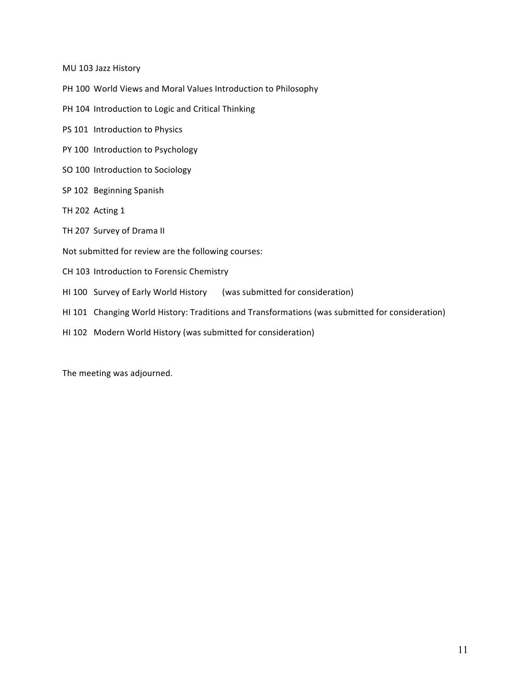MU 103 Jazz History

- PH 100 World Views and Moral Values Introduction to Philosophy
- PH 104 Introduction to Logic and Critical Thinking
- PS 101 Introduction to Physics
- PY 100 Introduction to Psychology
- SO 100 Introduction to Sociology
- SP 102 Beginning Spanish
- TH 202 Acting 1
- TH 207 Survey of Drama II
- Not submitted for review are the following courses:
- CH 103 Introduction to Forensic Chemistry
- HI 100 Survey of Early World History (was submitted for consideration)
- HI 101 Changing World History: Traditions and Transformations (was submitted for consideration)
- HI 102 Modern World History (was submitted for consideration)

The meeting was adjourned.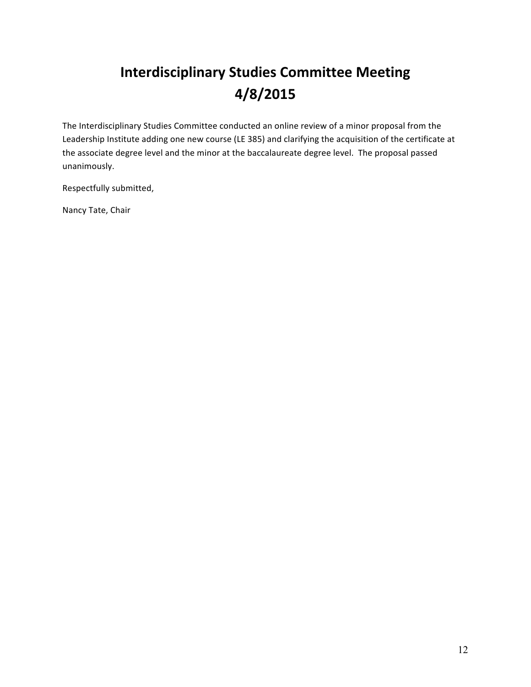# **Interdisciplinary Studies Committee Meeting 4/8/2015**

The Interdisciplinary Studies Committee conducted an online review of a minor proposal from the Leadership Institute adding one new course (LE 385) and clarifying the acquisition of the certificate at the associate degree level and the minor at the baccalaureate degree level. The proposal passed unanimously.

Respectfully submitted,

Nancy Tate, Chair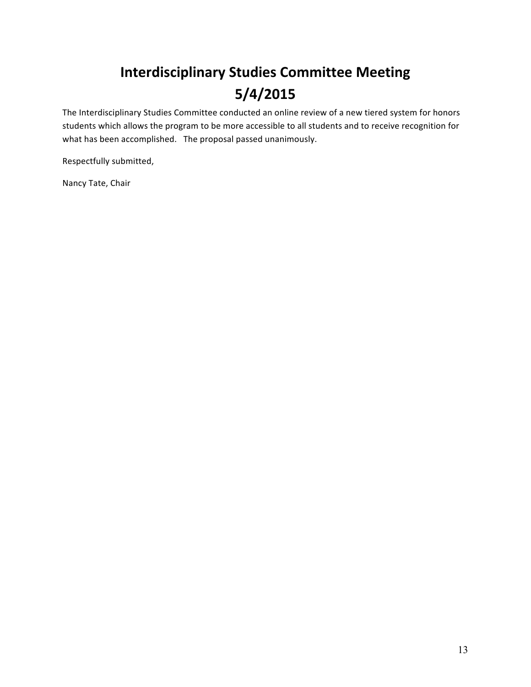# **Interdisciplinary Studies Committee Meeting 5/4/2015**

The Interdisciplinary Studies Committee conducted an online review of a new tiered system for honors students which allows the program to be more accessible to all students and to receive recognition for what has been accomplished. The proposal passed unanimously.

Respectfully submitted,

Nancy Tate, Chair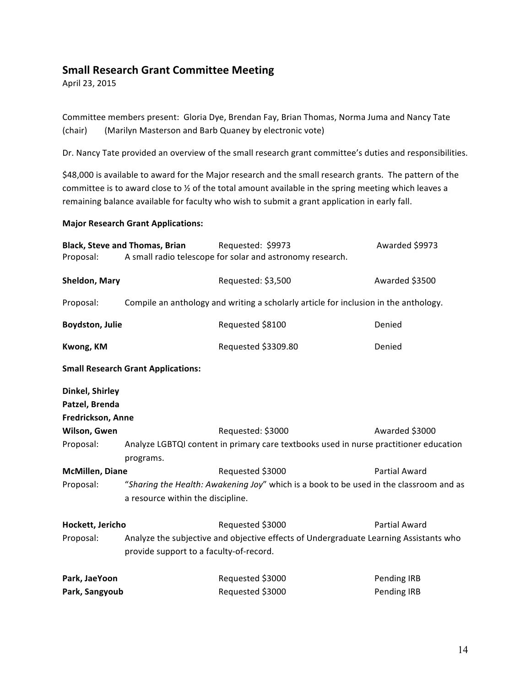# **Small Research Grant Committee Meeting**

April 23, 2015

Committee members present: Gloria Dye, Brendan Fay, Brian Thomas, Norma Juma and Nancy Tate (chair) (Marilyn Masterson and Barb Quaney by electronic vote)

Dr. Nancy Tate provided an overview of the small research grant committee's duties and responsibilities.

\$48,000 is available to award for the Major research and the small research grants. The pattern of the committee is to award close to 1/2 of the total amount available in the spring meeting which leaves a remaining balance available for faculty who wish to submit a grant application in early fall.

#### **Major Research Grant Applications:**

|                        | <b>Black, Steve and Thomas, Brian</b>                                                  | Requested: \$9973                                         | Awarded \$9973       |  |
|------------------------|----------------------------------------------------------------------------------------|-----------------------------------------------------------|----------------------|--|
| Proposal:              |                                                                                        | A small radio telescope for solar and astronomy research. |                      |  |
| Sheldon, Mary          |                                                                                        | Requested: \$3,500                                        | Awarded \$3500       |  |
| Proposal:              | Compile an anthology and writing a scholarly article for inclusion in the anthology.   |                                                           |                      |  |
| Boydston, Julie        |                                                                                        | Requested \$8100                                          | Denied               |  |
| Kwong, KM              |                                                                                        | Requested \$3309.80                                       | Denied               |  |
|                        | <b>Small Research Grant Applications:</b>                                              |                                                           |                      |  |
| Dinkel, Shirley        |                                                                                        |                                                           |                      |  |
| Patzel, Brenda         |                                                                                        |                                                           |                      |  |
| Fredrickson, Anne      |                                                                                        |                                                           |                      |  |
| Wilson, Gwen           |                                                                                        | Requested: \$3000                                         | Awarded \$3000       |  |
| Proposal:              | Analyze LGBTQI content in primary care textbooks used in nurse practitioner education  |                                                           |                      |  |
|                        | programs.                                                                              |                                                           |                      |  |
| <b>McMillen, Diane</b> |                                                                                        | Requested \$3000                                          | <b>Partial Award</b> |  |
| Proposal:              | "Sharing the Health: Awakening Joy" which is a book to be used in the classroom and as |                                                           |                      |  |
|                        | a resource within the discipline.                                                      |                                                           |                      |  |
| Hockett, Jericho       |                                                                                        | Requested \$3000                                          | <b>Partial Award</b> |  |
| Proposal:              | Analyze the subjective and objective effects of Undergraduate Learning Assistants who  |                                                           |                      |  |
|                        | provide support to a faculty-of-record.                                                |                                                           |                      |  |
| Park, JaeYoon          |                                                                                        | Requested \$3000                                          | Pending IRB          |  |
| Park, Sangyoub         |                                                                                        | Requested \$3000                                          | Pending IRB          |  |